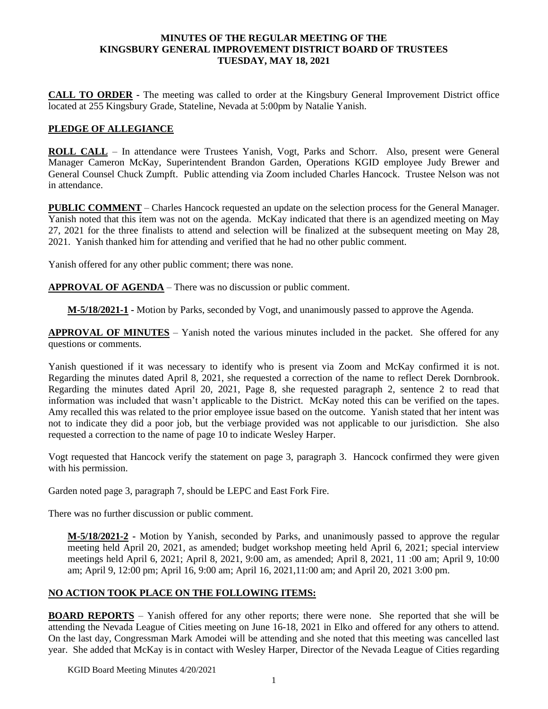#### **MINUTES OF THE REGULAR MEETING OF THE KINGSBURY GENERAL IMPROVEMENT DISTRICT BOARD OF TRUSTEES TUESDAY, MAY 18, 2021**

**CALL TO ORDER -** The meeting was called to order at the Kingsbury General Improvement District office located at 255 Kingsbury Grade, Stateline, Nevada at 5:00pm by Natalie Yanish.

## **PLEDGE OF ALLEGIANCE**

**ROLL CALL** – In attendance were Trustees Yanish, Vogt, Parks and Schorr. Also, present were General Manager Cameron McKay, Superintendent Brandon Garden, Operations KGID employee Judy Brewer and General Counsel Chuck Zumpft. Public attending via Zoom included Charles Hancock. Trustee Nelson was not in attendance.

**PUBLIC COMMENT** – Charles Hancock requested an update on the selection process for the General Manager. Yanish noted that this item was not on the agenda. McKay indicated that there is an agendized meeting on May 27, 2021 for the three finalists to attend and selection will be finalized at the subsequent meeting on May 28, 2021. Yanish thanked him for attending and verified that he had no other public comment.

Yanish offered for any other public comment; there was none.

**APPROVAL OF AGENDA** – There was no discussion or public comment.

**M-5/18/2021-1 -** Motion by Parks, seconded by Vogt, and unanimously passed to approve the Agenda.

**APPROVAL OF MINUTES** – Yanish noted the various minutes included in the packet. She offered for any questions or comments.

Yanish questioned if it was necessary to identify who is present via Zoom and McKay confirmed it is not. Regarding the minutes dated April 8, 2021, she requested a correction of the name to reflect Derek Dornbrook. Regarding the minutes dated April 20, 2021, Page 8, she requested paragraph 2, sentence 2 to read that information was included that wasn't applicable to the District. McKay noted this can be verified on the tapes. Amy recalled this was related to the prior employee issue based on the outcome. Yanish stated that her intent was not to indicate they did a poor job, but the verbiage provided was not applicable to our jurisdiction. She also requested a correction to the name of page 10 to indicate Wesley Harper.

Vogt requested that Hancock verify the statement on page 3, paragraph 3. Hancock confirmed they were given with his permission.

Garden noted page 3, paragraph 7, should be LEPC and East Fork Fire.

There was no further discussion or public comment.

**M-5/18/2021-2 -** Motion by Yanish, seconded by Parks, and unanimously passed to approve the regular meeting held April 20, 2021, as amended; budget workshop meeting held April 6, 2021; special interview meetings held April 6, 2021; April 8, 2021, 9:00 am, as amended; April 8, 2021, 11 :00 am; April 9, 10:00 am; April 9, 12:00 pm; April 16, 9:00 am; April 16, 2021,11:00 am; and April 20, 2021 3:00 pm.

#### **NO ACTION TOOK PLACE ON THE FOLLOWING ITEMS:**

**BOARD REPORTS** – Yanish offered for any other reports; there were none. She reported that she will be attending the Nevada League of Cities meeting on June 16-18, 2021 in Elko and offered for any others to attend. On the last day, Congressman Mark Amodei will be attending and she noted that this meeting was cancelled last year. She added that McKay is in contact with Wesley Harper, Director of the Nevada League of Cities regarding

KGID Board Meeting Minutes 4/20/2021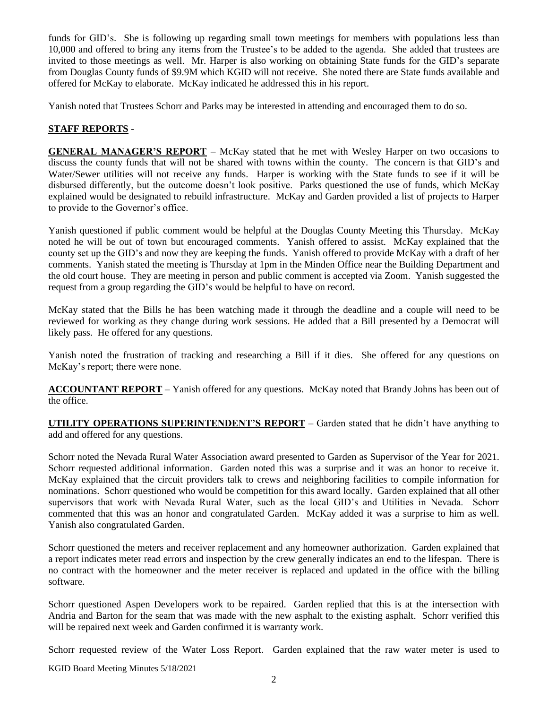funds for GID's. She is following up regarding small town meetings for members with populations less than 10,000 and offered to bring any items from the Trustee's to be added to the agenda. She added that trustees are invited to those meetings as well. Mr. Harper is also working on obtaining State funds for the GID's separate from Douglas County funds of \$9.9M which KGID will not receive. She noted there are State funds available and offered for McKay to elaborate. McKay indicated he addressed this in his report.

Yanish noted that Trustees Schorr and Parks may be interested in attending and encouraged them to do so.

# **STAFF REPORTS** -

**GENERAL MANAGER'S REPORT** – McKay stated that he met with Wesley Harper on two occasions to discuss the county funds that will not be shared with towns within the county. The concern is that GID's and Water/Sewer utilities will not receive any funds. Harper is working with the State funds to see if it will be disbursed differently, but the outcome doesn't look positive. Parks questioned the use of funds, which McKay explained would be designated to rebuild infrastructure. McKay and Garden provided a list of projects to Harper to provide to the Governor's office.

Yanish questioned if public comment would be helpful at the Douglas County Meeting this Thursday. McKay noted he will be out of town but encouraged comments. Yanish offered to assist. McKay explained that the county set up the GID's and now they are keeping the funds. Yanish offered to provide McKay with a draft of her comments. Yanish stated the meeting is Thursday at 1pm in the Minden Office near the Building Department and the old court house. They are meeting in person and public comment is accepted via Zoom. Yanish suggested the request from a group regarding the GID's would be helpful to have on record.

McKay stated that the Bills he has been watching made it through the deadline and a couple will need to be reviewed for working as they change during work sessions. He added that a Bill presented by a Democrat will likely pass. He offered for any questions.

Yanish noted the frustration of tracking and researching a Bill if it dies. She offered for any questions on McKay's report; there were none.

**ACCOUNTANT REPORT** – Yanish offered for any questions. McKay noted that Brandy Johns has been out of the office.

**UTILITY OPERATIONS SUPERINTENDENT'S REPORT** – Garden stated that he didn't have anything to add and offered for any questions.

Schorr noted the Nevada Rural Water Association award presented to Garden as Supervisor of the Year for 2021. Schorr requested additional information. Garden noted this was a surprise and it was an honor to receive it. McKay explained that the circuit providers talk to crews and neighboring facilities to compile information for nominations. Schorr questioned who would be competition for this award locally. Garden explained that all other supervisors that work with Nevada Rural Water, such as the local GID's and Utilities in Nevada. Schorr commented that this was an honor and congratulated Garden. McKay added it was a surprise to him as well. Yanish also congratulated Garden.

Schorr questioned the meters and receiver replacement and any homeowner authorization. Garden explained that a report indicates meter read errors and inspection by the crew generally indicates an end to the lifespan. There is no contract with the homeowner and the meter receiver is replaced and updated in the office with the billing software.

Schorr questioned Aspen Developers work to be repaired. Garden replied that this is at the intersection with Andria and Barton for the seam that was made with the new asphalt to the existing asphalt. Schorr verified this will be repaired next week and Garden confirmed it is warranty work.

Schorr requested review of the Water Loss Report. Garden explained that the raw water meter is used to

KGID Board Meeting Minutes 5/18/2021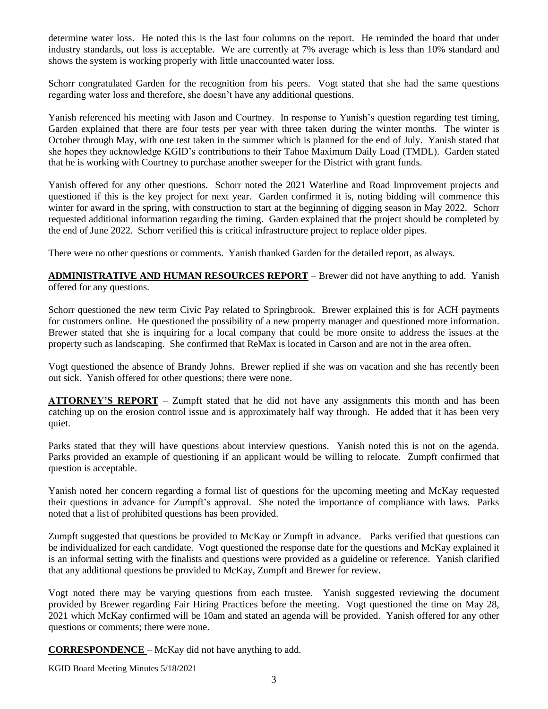determine water loss. He noted this is the last four columns on the report. He reminded the board that under industry standards, out loss is acceptable. We are currently at 7% average which is less than 10% standard and shows the system is working properly with little unaccounted water loss.

Schorr congratulated Garden for the recognition from his peers. Vogt stated that she had the same questions regarding water loss and therefore, she doesn't have any additional questions.

Yanish referenced his meeting with Jason and Courtney. In response to Yanish's question regarding test timing, Garden explained that there are four tests per year with three taken during the winter months. The winter is October through May, with one test taken in the summer which is planned for the end of July. Yanish stated that she hopes they acknowledge KGID's contributions to their Tahoe Maximum Daily Load (TMDL). Garden stated that he is working with Courtney to purchase another sweeper for the District with grant funds.

Yanish offered for any other questions. Schorr noted the 2021 Waterline and Road Improvement projects and questioned if this is the key project for next year. Garden confirmed it is, noting bidding will commence this winter for award in the spring, with construction to start at the beginning of digging season in May 2022. Schorr requested additional information regarding the timing. Garden explained that the project should be completed by the end of June 2022. Schorr verified this is critical infrastructure project to replace older pipes.

There were no other questions or comments. Yanish thanked Garden for the detailed report, as always.

**ADMINISTRATIVE AND HUMAN RESOURCES REPORT** – Brewer did not have anything to add. Yanish offered for any questions.

Schorr questioned the new term Civic Pay related to Springbrook. Brewer explained this is for ACH payments for customers online. He questioned the possibility of a new property manager and questioned more information. Brewer stated that she is inquiring for a local company that could be more onsite to address the issues at the property such as landscaping. She confirmed that ReMax is located in Carson and are not in the area often.

Vogt questioned the absence of Brandy Johns. Brewer replied if she was on vacation and she has recently been out sick. Yanish offered for other questions; there were none.

**ATTORNEY'S REPORT** – Zumpft stated that he did not have any assignments this month and has been catching up on the erosion control issue and is approximately half way through. He added that it has been very quiet.

Parks stated that they will have questions about interview questions. Yanish noted this is not on the agenda. Parks provided an example of questioning if an applicant would be willing to relocate. Zumpft confirmed that question is acceptable.

Yanish noted her concern regarding a formal list of questions for the upcoming meeting and McKay requested their questions in advance for Zumpft's approval. She noted the importance of compliance with laws. Parks noted that a list of prohibited questions has been provided.

Zumpft suggested that questions be provided to McKay or Zumpft in advance. Parks verified that questions can be individualized for each candidate. Vogt questioned the response date for the questions and McKay explained it is an informal setting with the finalists and questions were provided as a guideline or reference. Yanish clarified that any additional questions be provided to McKay, Zumpft and Brewer for review.

Vogt noted there may be varying questions from each trustee. Yanish suggested reviewing the document provided by Brewer regarding Fair Hiring Practices before the meeting. Vogt questioned the time on May 28, 2021 which McKay confirmed will be 10am and stated an agenda will be provided. Yanish offered for any other questions or comments; there were none.

**CORRESPONDENCE** – McKay did not have anything to add.

KGID Board Meeting Minutes 5/18/2021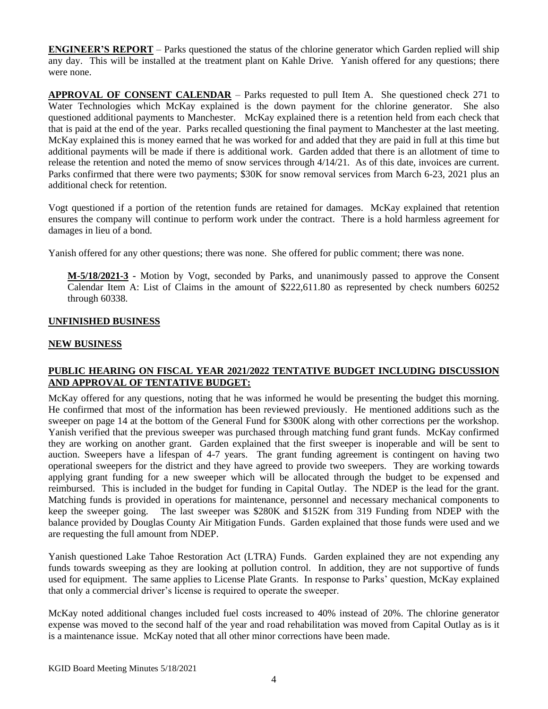**ENGINEER'S REPORT** – Parks questioned the status of the chlorine generator which Garden replied will ship any day. This will be installed at the treatment plant on Kahle Drive. Yanish offered for any questions; there were none.

**APPROVAL OF CONSENT CALENDAR** – Parks requested to pull Item A. She questioned check 271 to Water Technologies which McKay explained is the down payment for the chlorine generator. She also questioned additional payments to Manchester. McKay explained there is a retention held from each check that that is paid at the end of the year. Parks recalled questioning the final payment to Manchester at the last meeting. McKay explained this is money earned that he was worked for and added that they are paid in full at this time but additional payments will be made if there is additional work. Garden added that there is an allotment of time to release the retention and noted the memo of snow services through 4/14/21. As of this date, invoices are current. Parks confirmed that there were two payments; \$30K for snow removal services from March 6-23, 2021 plus an additional check for retention.

Vogt questioned if a portion of the retention funds are retained for damages. McKay explained that retention ensures the company will continue to perform work under the contract. There is a hold harmless agreement for damages in lieu of a bond.

Yanish offered for any other questions; there was none. She offered for public comment; there was none.

**M-5/18/2021-3 -** Motion by Vogt, seconded by Parks, and unanimously passed to approve the Consent Calendar Item A: List of Claims in the amount of \$222,611.80 as represented by check numbers 60252 through 60338.

## **UNFINISHED BUSINESS**

## **NEW BUSINESS**

## **PUBLIC HEARING ON FISCAL YEAR 2021/2022 TENTATIVE BUDGET INCLUDING DISCUSSION AND APPROVAL OF TENTATIVE BUDGET:**

McKay offered for any questions, noting that he was informed he would be presenting the budget this morning. He confirmed that most of the information has been reviewed previously. He mentioned additions such as the sweeper on page 14 at the bottom of the General Fund for \$300K along with other corrections per the workshop. Yanish verified that the previous sweeper was purchased through matching fund grant funds. McKay confirmed they are working on another grant. Garden explained that the first sweeper is inoperable and will be sent to auction. Sweepers have a lifespan of 4-7 years. The grant funding agreement is contingent on having two operational sweepers for the district and they have agreed to provide two sweepers. They are working towards applying grant funding for a new sweeper which will be allocated through the budget to be expensed and reimbursed. This is included in the budget for funding in Capital Outlay. The NDEP is the lead for the grant. Matching funds is provided in operations for maintenance, personnel and necessary mechanical components to keep the sweeper going. The last sweeper was \$280K and \$152K from 319 Funding from NDEP with the balance provided by Douglas County Air Mitigation Funds. Garden explained that those funds were used and we are requesting the full amount from NDEP.

Yanish questioned Lake Tahoe Restoration Act (LTRA) Funds. Garden explained they are not expending any funds towards sweeping as they are looking at pollution control. In addition, they are not supportive of funds used for equipment. The same applies to License Plate Grants. In response to Parks' question, McKay explained that only a commercial driver's license is required to operate the sweeper.

McKay noted additional changes included fuel costs increased to 40% instead of 20%. The chlorine generator expense was moved to the second half of the year and road rehabilitation was moved from Capital Outlay as is it is a maintenance issue. McKay noted that all other minor corrections have been made.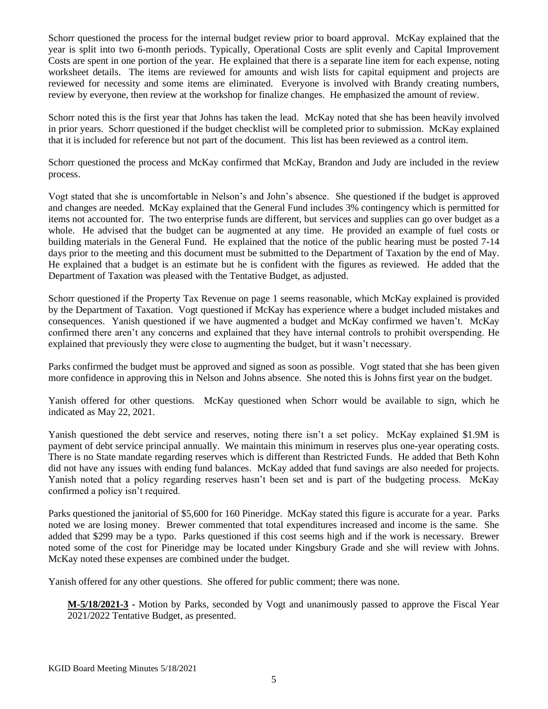Schorr questioned the process for the internal budget review prior to board approval. McKay explained that the year is split into two 6-month periods. Typically, Operational Costs are split evenly and Capital Improvement Costs are spent in one portion of the year. He explained that there is a separate line item for each expense, noting worksheet details. The items are reviewed for amounts and wish lists for capital equipment and projects are reviewed for necessity and some items are eliminated. Everyone is involved with Brandy creating numbers, review by everyone, then review at the workshop for finalize changes. He emphasized the amount of review.

Schorr noted this is the first year that Johns has taken the lead. McKay noted that she has been heavily involved in prior years. Schorr questioned if the budget checklist will be completed prior to submission. McKay explained that it is included for reference but not part of the document. This list has been reviewed as a control item.

Schorr questioned the process and McKay confirmed that McKay, Brandon and Judy are included in the review process.

Vogt stated that she is uncomfortable in Nelson's and John's absence. She questioned if the budget is approved and changes are needed. McKay explained that the General Fund includes 3% contingency which is permitted for items not accounted for. The two enterprise funds are different, but services and supplies can go over budget as a whole. He advised that the budget can be augmented at any time. He provided an example of fuel costs or building materials in the General Fund. He explained that the notice of the public hearing must be posted 7-14 days prior to the meeting and this document must be submitted to the Department of Taxation by the end of May. He explained that a budget is an estimate but he is confident with the figures as reviewed. He added that the Department of Taxation was pleased with the Tentative Budget, as adjusted.

Schorr questioned if the Property Tax Revenue on page 1 seems reasonable, which McKay explained is provided by the Department of Taxation. Vogt questioned if McKay has experience where a budget included mistakes and consequences. Yanish questioned if we have augmented a budget and McKay confirmed we haven't. McKay confirmed there aren't any concerns and explained that they have internal controls to prohibit overspending. He explained that previously they were close to augmenting the budget, but it wasn't necessary.

Parks confirmed the budget must be approved and signed as soon as possible. Vogt stated that she has been given more confidence in approving this in Nelson and Johns absence. She noted this is Johns first year on the budget.

Yanish offered for other questions. McKay questioned when Schorr would be available to sign, which he indicated as May 22, 2021.

Yanish questioned the debt service and reserves, noting there isn't a set policy. McKay explained \$1.9M is payment of debt service principal annually. We maintain this minimum in reserves plus one-year operating costs. There is no State mandate regarding reserves which is different than Restricted Funds. He added that Beth Kohn did not have any issues with ending fund balances. McKay added that fund savings are also needed for projects. Yanish noted that a policy regarding reserves hasn't been set and is part of the budgeting process. McKay confirmed a policy isn't required.

Parks questioned the janitorial of \$5,600 for 160 Pineridge. McKay stated this figure is accurate for a year. Parks noted we are losing money. Brewer commented that total expenditures increased and income is the same. She added that \$299 may be a typo. Parks questioned if this cost seems high and if the work is necessary. Brewer noted some of the cost for Pineridge may be located under Kingsbury Grade and she will review with Johns. McKay noted these expenses are combined under the budget.

Yanish offered for any other questions. She offered for public comment; there was none.

**M-5/18/2021-3 -** Motion by Parks, seconded by Vogt and unanimously passed to approve the Fiscal Year 2021/2022 Tentative Budget, as presented.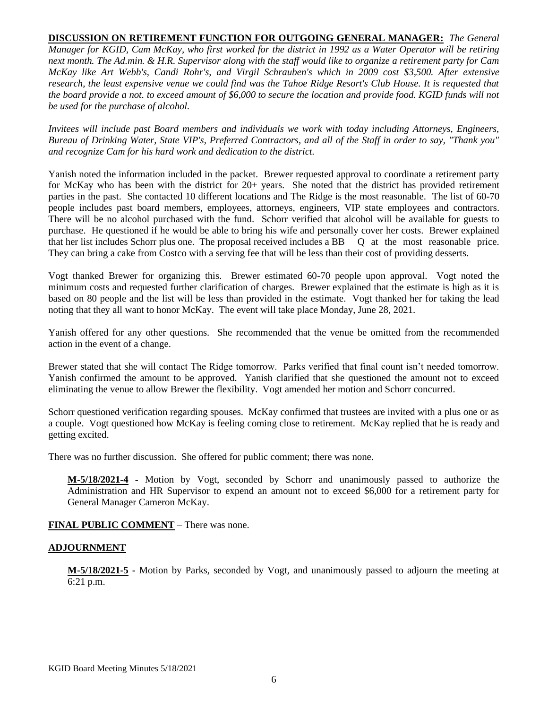**DISCUSSION ON RETIREMENT FUNCTION FOR OUTGOING GENERAL MANAGER:** *The General Manager for KGID, Cam McKay, who first worked for the district in 1992 as a Water Operator will be retiring next month. The Ad.min. & H.R. Supervisor along with the staff would like to organize a retirement party for Cam McKay like Art Webb's, Candi Rohr's, and Virgil Schrauben's which in 2009 cost \$3,500. After extensive*  research, the least expensive venue we could find was the Tahoe Ridge Resort's Club House. It is requested that *the board provide a not. to exceed amount of \$6,000 to secure the location and provide food. KGID funds will not be used for the purchase of alcohol.* 

*Invitees will include past Board members and individuals we work with today including Attorneys, Engineers, Bureau of Drinking Water, State VIP's, Preferred Contractors, and all of the Staff in order to say, "Thank you" and recognize Cam for his hard work and dedication to the district.*

Yanish noted the information included in the packet. Brewer requested approval to coordinate a retirement party for McKay who has been with the district for 20+ years. She noted that the district has provided retirement parties in the past. She contacted 10 different locations and The Ridge is the most reasonable. The list of 60-70 people includes past board members, employees, attorneys, engineers, VIP state employees and contractors. There will be no alcohol purchased with the fund. Schorr verified that alcohol will be available for guests to purchase. He questioned if he would be able to bring his wife and personally cover her costs. Brewer explained that her list includes Schorr plus one. The proposal received includes a BB Q at the most reasonable price. They can bring a cake from Costco with a serving fee that will be less than their cost of providing desserts.

Vogt thanked Brewer for organizing this. Brewer estimated 60-70 people upon approval. Vogt noted the minimum costs and requested further clarification of charges. Brewer explained that the estimate is high as it is based on 80 people and the list will be less than provided in the estimate. Vogt thanked her for taking the lead noting that they all want to honor McKay. The event will take place Monday, June 28, 2021.

Yanish offered for any other questions. She recommended that the venue be omitted from the recommended action in the event of a change.

Brewer stated that she will contact The Ridge tomorrow. Parks verified that final count isn't needed tomorrow. Yanish confirmed the amount to be approved. Yanish clarified that she questioned the amount not to exceed eliminating the venue to allow Brewer the flexibility. Vogt amended her motion and Schorr concurred.

Schorr questioned verification regarding spouses. McKay confirmed that trustees are invited with a plus one or as a couple. Vogt questioned how McKay is feeling coming close to retirement. McKay replied that he is ready and getting excited.

There was no further discussion. She offered for public comment; there was none.

**M-5/18/2021-4 -** Motion by Vogt, seconded by Schorr and unanimously passed to authorize the Administration and HR Supervisor to expend an amount not to exceed \$6,000 for a retirement party for General Manager Cameron McKay.

#### **FINAL PUBLIC COMMENT** – There was none.

#### **ADJOURNMENT**

**M-5/18/2021-5 -** Motion by Parks, seconded by Vogt, and unanimously passed to adjourn the meeting at 6:21 p.m.